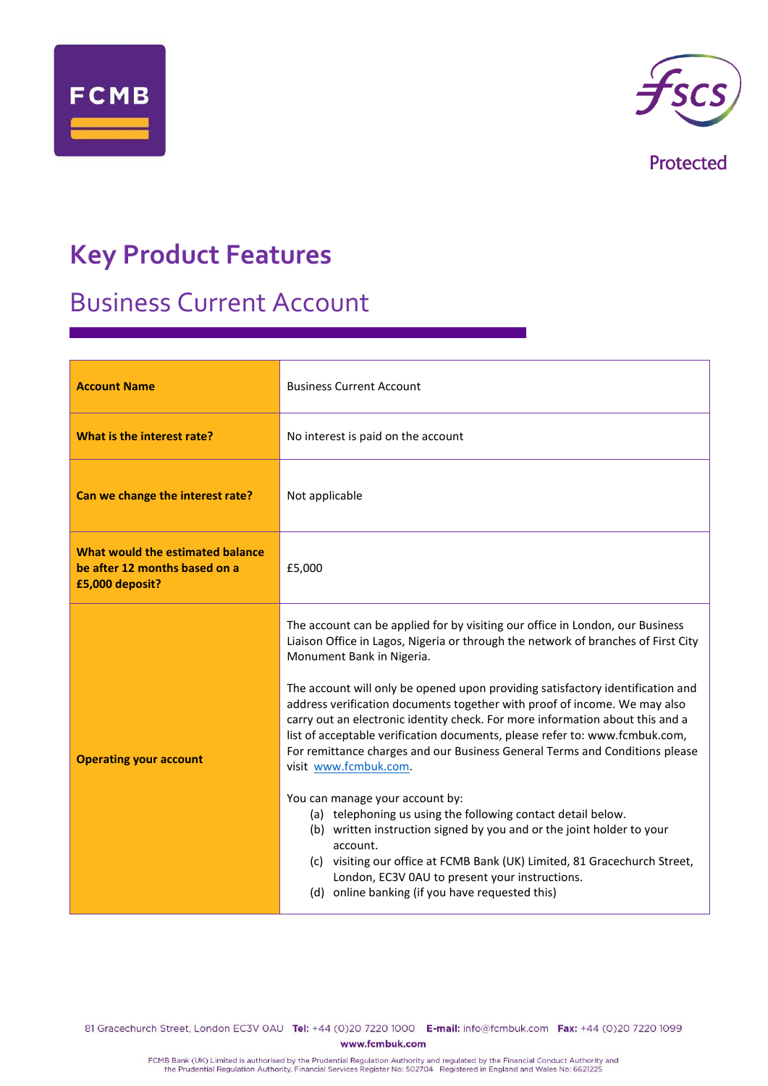



Protected

# **Key Product Features**

## Business Current Account

| <b>Account Name</b>                                                                  | <b>Business Current Account</b>                                                                                                                                                                                                                                                                                                                                                                                                                                                                                                                                                                                                                                                                                                                                                                                                                                                                                                                                                                                  |  |
|--------------------------------------------------------------------------------------|------------------------------------------------------------------------------------------------------------------------------------------------------------------------------------------------------------------------------------------------------------------------------------------------------------------------------------------------------------------------------------------------------------------------------------------------------------------------------------------------------------------------------------------------------------------------------------------------------------------------------------------------------------------------------------------------------------------------------------------------------------------------------------------------------------------------------------------------------------------------------------------------------------------------------------------------------------------------------------------------------------------|--|
| What is the interest rate?                                                           | No interest is paid on the account                                                                                                                                                                                                                                                                                                                                                                                                                                                                                                                                                                                                                                                                                                                                                                                                                                                                                                                                                                               |  |
| Can we change the interest rate?                                                     | Not applicable                                                                                                                                                                                                                                                                                                                                                                                                                                                                                                                                                                                                                                                                                                                                                                                                                                                                                                                                                                                                   |  |
| What would the estimated balance<br>be after 12 months based on a<br>£5,000 deposit? | £5,000                                                                                                                                                                                                                                                                                                                                                                                                                                                                                                                                                                                                                                                                                                                                                                                                                                                                                                                                                                                                           |  |
| <b>Operating your account</b>                                                        | The account can be applied for by visiting our office in London, our Business<br>Liaison Office in Lagos, Nigeria or through the network of branches of First City<br>Monument Bank in Nigeria.<br>The account will only be opened upon providing satisfactory identification and<br>address verification documents together with proof of income. We may also<br>carry out an electronic identity check. For more information about this and a<br>list of acceptable verification documents, please refer to: www.fcmbuk.com,<br>For remittance charges and our Business General Terms and Conditions please<br>visit www.fcmbuk.com.<br>You can manage your account by:<br>(a) telephoning us using the following contact detail below.<br>(b) written instruction signed by you and or the joint holder to your<br>account.<br>(c) visiting our office at FCMB Bank (UK) Limited, 81 Gracechurch Street,<br>London, EC3V 0AU to present your instructions.<br>(d) online banking (if you have requested this) |  |

81 Gracechurch Street, London EC3V 0AU Tel: +44 (0)20 7220 1000 E-mail: info@fcmbuk.com Fax: +44 (0)20 7220 1099 www.fcmbuk.com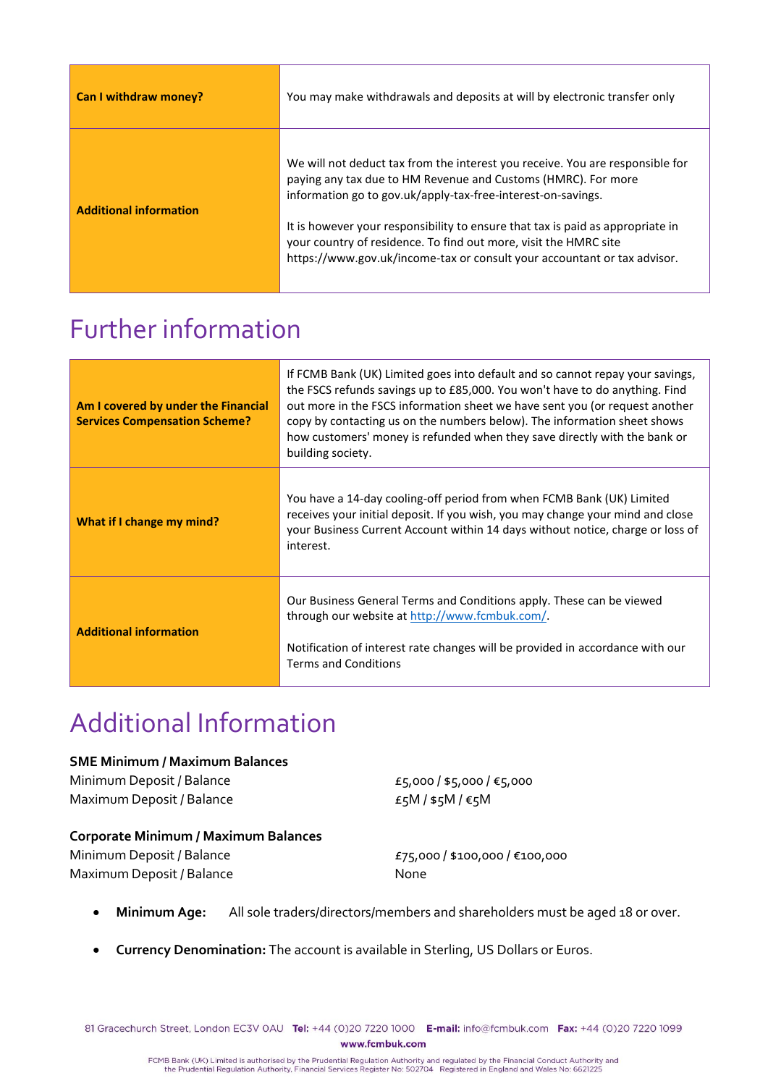| Can I withdraw money?         | You may make withdrawals and deposits at will by electronic transfer only                                                                                                                                                                                                                                                                                                                                                                        |
|-------------------------------|--------------------------------------------------------------------------------------------------------------------------------------------------------------------------------------------------------------------------------------------------------------------------------------------------------------------------------------------------------------------------------------------------------------------------------------------------|
| <b>Additional information</b> | We will not deduct tax from the interest you receive. You are responsible for<br>paying any tax due to HM Revenue and Customs (HMRC). For more<br>information go to gov.uk/apply-tax-free-interest-on-savings.<br>It is however your responsibility to ensure that tax is paid as appropriate in<br>your country of residence. To find out more, visit the HMRC site<br>https://www.gov.uk/income-tax or consult your accountant or tax advisor. |

### Further information

| Am I covered by under the Financial<br><b>Services Compensation Scheme?</b> | If FCMB Bank (UK) Limited goes into default and so cannot repay your savings,<br>the FSCS refunds savings up to £85,000. You won't have to do anything. Find<br>out more in the FSCS information sheet we have sent you (or request another<br>copy by contacting us on the numbers below). The information sheet shows<br>how customers' money is refunded when they save directly with the bank or<br>building society. |
|-----------------------------------------------------------------------------|---------------------------------------------------------------------------------------------------------------------------------------------------------------------------------------------------------------------------------------------------------------------------------------------------------------------------------------------------------------------------------------------------------------------------|
| What if I change my mind?                                                   | You have a 14-day cooling-off period from when FCMB Bank (UK) Limited<br>receives your initial deposit. If you wish, you may change your mind and close<br>your Business Current Account within 14 days without notice, charge or loss of<br>interest.                                                                                                                                                                    |
| <b>Additional information</b>                                               | Our Business General Terms and Conditions apply. These can be viewed<br>through our website at http://www.fcmbuk.com/<br>Notification of interest rate changes will be provided in accordance with our<br><b>Terms and Conditions</b>                                                                                                                                                                                     |

# Additional Information

#### **SME Minimum / Maximum Balances**

Minimum Deposit / Balance  $E_5$ ,000 / \$5,000 /  $\epsilon$ 5,000 Maximum Deposit / Balance  $E_5M / $5M / 65M$ 

#### **Corporate Minimum / Maximum Balances**

Minimum Deposit / Balance £75,000 / \$100,000 / €100,000 Maximum Deposit / Balance None

- **Minimum Age:** All sole traders/directors/members and shareholders must be aged 18 or over.
- **Currency Denomination:** The account is available in Sterling, US Dollars or Euros.

81 Gracechurch Street, London EC3V 0AU Tel: +44 (0)20 7220 1000 E-mail: info@fcmbuk.com Fax: +44 (0)20 7220 1099 www.fcmbuk.com